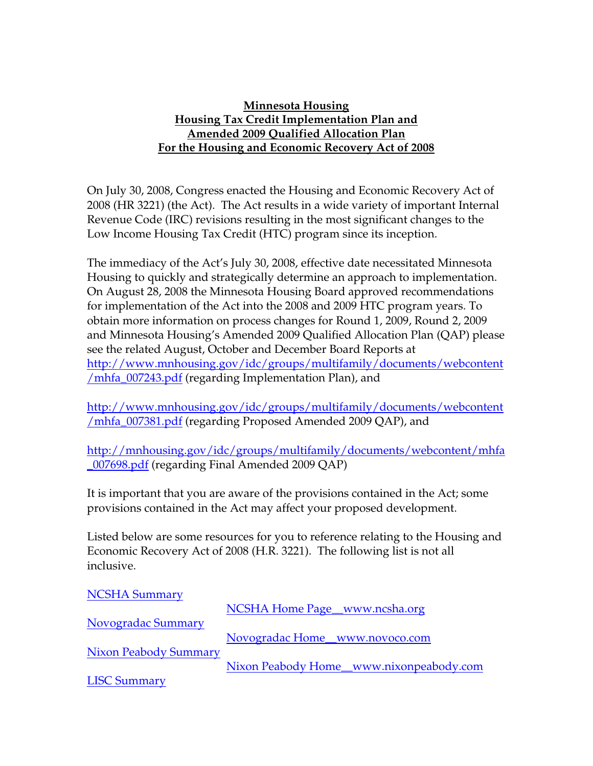## **Minnesota Housing Housing Tax Credit Implementation Plan and Amended 2009 Qualified Allocation Plan For the Housing and Economic Recovery Act of 2008**

On July 30, 2008, Congress enacted the Housing and Economic Recovery Act of 2008 (HR 3221) (the Act). The Act results in a wide variety of important Internal Revenue Code (IRC) revisions resulting in the most significant changes to the Low Income Housing Tax Credit (HTC) program since its inception.

The immediacy of the Act's July 30, 2008, effective date necessitated Minnesota Housing to quickly and strategically determine an approach to implementation. On August 28, 2008 the Minnesota Housing Board approved recommendations for implementation of the Act into the 2008 and 2009 HTC program years. To obtain more information on process changes for Round 1, 2009, Round 2, 2009 and Minnesota Housing's Amended 2009 Qualified Allocation Plan (QAP) please see the related August, October and December Board Reports at [http://www.mnhousing.gov/idc/groups/multifamily/documents/webcontent](http://www.mnhousing.gov/idc/groups/multifamily/documents/webcontent/mhfa_007243.pdf) [/mhfa\\_007243.pdf](http://www.mnhousing.gov/idc/groups/multifamily/documents/webcontent/mhfa_007243.pdf) (regarding Implementation Plan), and

[http://www.mnhousing.gov/idc/groups/multifamily/documents/webcontent](http://www.mnhousing.gov/idc/groups/multifamily/documents/webcontent/mhfa_007381.pdf) [/mhfa\\_007381.pdf](http://www.mnhousing.gov/idc/groups/multifamily/documents/webcontent/mhfa_007381.pdf) (regarding Proposed Amended 2009 QAP), and

[http://mnhousing.gov/idc/groups/multifamily/documents/webcontent/mhfa](http://mnhousing.gov/idc/groups/multifamily/documents/webcontent/mhfa_007698.pdf) [\\_007698.pdf](http://mnhousing.gov/idc/groups/multifamily/documents/webcontent/mhfa_007698.pdf) (regarding Final Amended 2009 QAP)

It is important that you are aware of the provisions contained in the Act; some provisions contained in the Act may affect your proposed development.

Listed below are some resources for you to reference relating to the Housing and Economic Recovery Act of 2008 (H.R. 3221). The following list is not all inclusive.

| <b>NCSHA Summary</b>         |                                         |
|------------------------------|-----------------------------------------|
|                              | NCSHA Home Page_www.ncsha.org           |
| Novogradac Summary           |                                         |
|                              | Novogradac Home_www.novoco.com          |
| <b>Nixon Peabody Summary</b> |                                         |
|                              | Nixon Peabody Home_www.nixonpeabody.com |
| <b>LISC Summary</b>          |                                         |